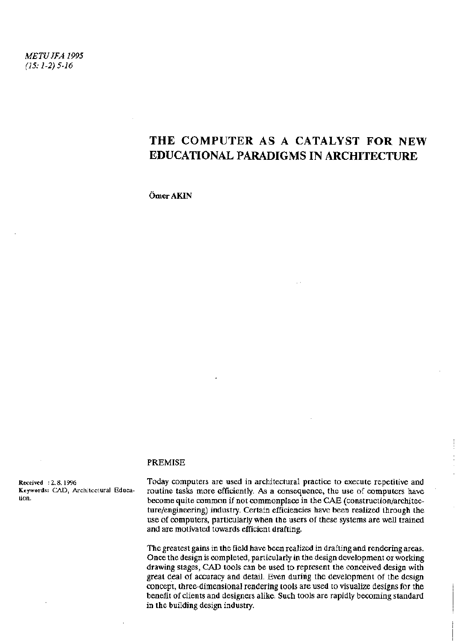*METUJFA 1995 (15:1-2) 5-16* 

# THE COMPUTER AS A CATALYST FOR NEW EDUCATIONAL PARADIGMS IN ARCHITECTURE

OmerAKIN

#### PREMISE

tion.

Received : 2.8.1996 Today computers are used in architectural practice to execute repetitive and<br>Keywords: CAD, Architectural Educa- routine tasks more efficiently. As a consequence, the use of computers have routine tasks more efficiently. As a consequence, the use of computers have become quite common if not commonplace in the CAE (construction/architecture/engineering) industry. Certain efficiencies have been realized through the use of computers, particularly when the users of these systems are well trained and are motivated towards efficient drafting.

> The greatest gains in the field have been realized in drafting and rendering areas. Once the design is completed, particularly in the design development or working drawing stages, CAD tools can be used to represent the conceived design with great deal of accuracy and detail. Even during the development of the design concept, three-dimensional rendering tools are used to visualize designs for the benefit of clients and designers alike. Such tools are rapidly becoming standard in the building design industry.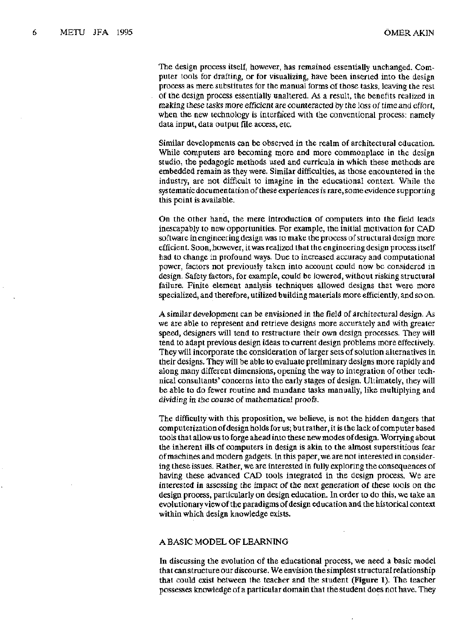The design process itself, however, has remained essentially unchanged. Computer tools for drafting, or for visualizing, have been inserted into the design process as mere substitutes for the manual forms of those tasks, leaving the rest of the design process essentially unaltered. As a result, the benefits realized in making these tasks more efficient are counteracted by the loss of time and effort, when the new technology is interfaced with the conventional process: namely data input, data output file access, etc.

Similar developments can be observed in the realm of architectural education. While computers are becoming more and more commonplace in the design studio, the pedagogic methods used and curricula in which these methods are embedded remain as they were. Similar difficulties, as those encountered in the industry, are not difficult to imagine in the educational context. While the systematic documentation of these experiences is rare, some evidence supporting this point is available.

On the other hand, the mere introduction of computers into the field leads inescapably to new opportunities. For example, the initial motivation for CAD software in engineering design was to make the process of structural design more efficient. Soon, however, it was realized that the engineering design process itself had to change in profound ways. Due to increased accuracy and computational power, factors not previously taken into account could now be considered in design. Safety factors, for example, could be lowered, without risking structural failure. Finite element analysis techniques allowed designs that were more specialized, and therefore, utilized building materials more efficiently, and so on.

A similar development can be envisioned in the field of architectural design. As we are able to represent and retrieve designs more accurately and with greater speed, designers will tend to restructure their own design processes. They will tend to adapt previous design ideas to current design problems more effectively. They will incorporate the consideration of larger sets of solution alternatives in their designs. They will be able to evaluate preliminary designs more rapidly and along many different dimensions, opening the way to integration of other technical consultants' concerns into the early stages of design. Ultimately, they will be able to do fewer routine and mundane tasks manually, like multiplying and dividing in the course of mathematical proofs.

The difficulty with this proposition, we believe, is not the hidden dangers that computerization of design holds for us; but rather, it is the lack of computer based tools that allow us to forge ahead into these new modes of design. Worrying about the inherent ills of computers in design is akin to the almost superstitious fear of machines and modern gadgets. In this paper, we are not interested in considering these issues. Rather, we are interested in fully exploring the consequences of having these advanced CAD tools integrated in the design process. We are interested in assessing the impact of the next generation of these tools on the design process, particularly on design education. In order to do this, we take an evolutionary view of the paradigms of design education and the historical context within which design knowledge exists.

#### A BASIC MODEL OF LEARNING

In discussing the evolution of the educational process, we need a basic model that can structure our discourse. We envision the simplest structural relationship that could exist between the teacher and the student (Figure 1). The teacher possesses knowledge of a particular domain that the student does not have. They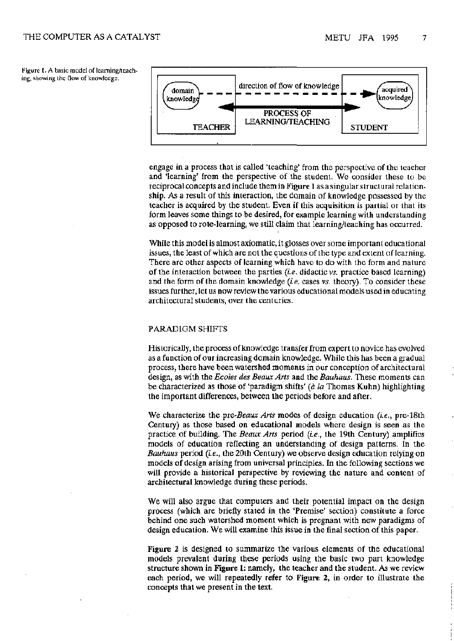Figure 1. A basic model of learning/teaching, showing the flow of knowledge.



engage in a process that is called 'teaching' from the perspective of the teacher and 'learning' from the perspective of the student. Wc consider these to be reciprocal concepts and include them in Figure 1 as a singular structural relationship. As a result of this interaction, the domain of knowledge possessed by the teacher is acquired by the student. Even if this acquisition is partial or that its form leaves some things to be desired, for example learning with understanding as opposed to rote-learning, we still claim that learning/teaching has occurred.

While this model is almost axiomatic, it glosses over some important educational issues, the least of which are not the questions of the type and extent of learning. There are other aspects of learning which have to do with the form and nature of the interaction between the parties *(i.e.* didactic *vs.* practice based learning) and the form of the domain knowledge *(Le.* cases *vs.* theory). To consider these issues further, let us now review the various educational models used in educating architectural students, over the centuries.

#### PARADIGM SHIFTS

Historically, the process of knowledge transfer from expert to novice has evolved as a function of our increasing domain knowledge. While this has been a gradual process, there have been watershed moments in our conception of architectural design, as with the *Ecoles des Beaux Arts* and the *Bauhaus.* These moments can be characterized as those of 'paradigm shifts' *(â la* Thomas Kuhn) highlighting the important differences, between the periods before and after.

We characterize the pre-Beaux Arts modes of design education (i.e., pre-18th Century) as those based on educational models where design is seen as the practice of building. The *Beaux Arts* period *(Le.,* the 19th Century) amplifies models of education reflecting an understanding of design patterns. In the *Bauhaus* period *(Le.,* the 20th Century) we observe design education relying on models of design arising from universal principles. In the following sections we will provide a historical perspective by reviewing the nature and content of architectural knowledge during these periods.

We will also argue that computers and their potential impact on the design process (which are briefly stated in the 'Premise' section) constitute a force behind one such watershed moment which is pregnant with new paradigms of design education. We will examine this issue in the final section of this paper.

**Figure 2** is designed to summarize the various elements of the educational models prevalent during these periods using the basic two part knowledge structure shown in **Figure 1:** namely, the teacher and the student. As we review each period, we will repeatedly refer to **Figure 2,** in order to illustrate the concepts that we present in the text.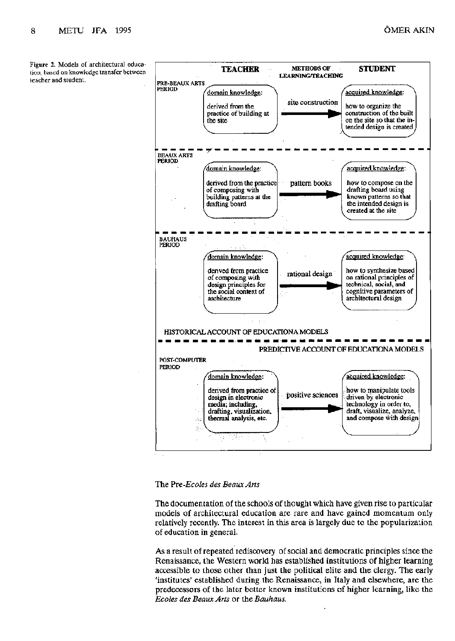Figure 2. Models of architectural education, based on knowledge transfer between<br>teacher and student.



The *?re-Ecoles des Beaux Arts* 

The documentation of the schools of thought which have given rise to particular models of architectural education are rare and have gained momentum only relatively recently. The interest in this area is largely due to the popularization of education in general.

As a result of repeated rediscovery of social and democratic principles since the Renaissance, the Western world has established institutions of higher learning accessible to those other than just the political elite and the clergy. The early 'institutes' established during the Renaissance, in Italy and elsewhere, are the predecessors of the later better known institutions of higher learning, like the *Ecoles des Beaux Arts* or the *Bauhaus.*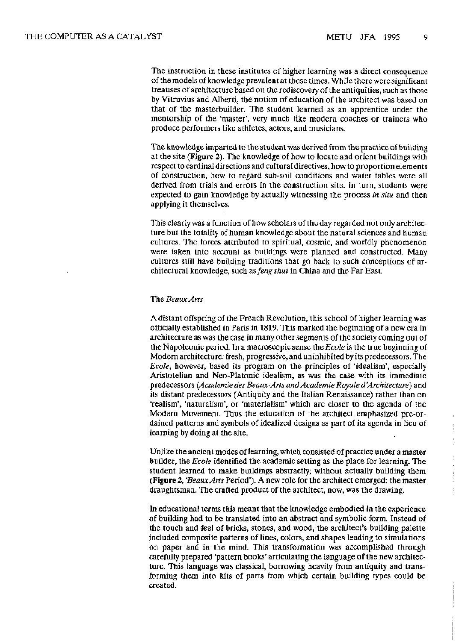$\frac{1}{2}$ 

The instruction in these institutes of higher learning was a direct consequence of the models of knowledge prevalent at those times. While there were significant treatises of architecture based on the rediscovery of the antiquities, such as those by Vitruvius and Alberti, the notion of education of the architect was based on that of the masterbuilder. The student learned as an apprentice under the mentorship of the 'master', very much like modern coaches or trainers who produce performers like athletes, actors, and musicians.

The knowledge imparted to the student was derived from the practice of building at the site (Figure 2). The knowledge of how to locate and orient buildings with respect to cardinal directions and cultural directives, how to proportion elements of construction, how to regard sub-soil conditions and water tables were all derived from trials and errors in the construction site. In turn, students were expected to gain knowledge by actually witnessing the process *in situ* and then applying it themselves.

This clearly was a function of how scholars of the day regarded not only architecture but the totality of human knowledge about the natural sciences and human cultures. The forces attributed to spiritual, cosmic, and worldly phenomenon were taken into account as buildings were planned and constructed. Many cultures still have building traditions that go back to such conceptions of architectural knowledge, such *asfengshui* in China and the Far East.

#### The *Beaux Arts*

A distant offspring of the French Revolution, this school of higher learning was officially established in Paris in 1819. This marked the beginning of a new era in architecture as was the case in many other segments of the society coming out of the Napoleonic period. In a macroscopic sense the *Ecole* is the true beginning of Modern architecture: fresh, progressive, and uninhibited by its predecessors. The *Ecole,* however, based its program on the principles of 'idealism', especially Aristotelian and Neo-Platonic idealism, as was the case with its immediate predecessors (Academie des Beaux-Arts and Academie Royale d'Architecture) and its distant predecessors (Antiquity and the Italian Renaissance) rather than on 'realism', 'naturalism', or 'materialism' which are closer to the agenda of the Modern Movement. Thus the education of the architect emphasized pre-ordained patterns and symbols of idealized designs as part of its agenda in lieu of learning by doing at the site.

Unlike the ancient modes of learning, which consisted of practice under a master builder, the *Ecole* identified the academic setting as the place for learning. The student learned to make buildings abstractly; without actually building them (Figure 2, *'Beaux Arts* Period'). A new role for the architect emerged: the master draughtsman. The crafted product of the architect, now, was the drawing.

In educational terms this meant that the knowledge embodied in the experience of building had to be translated into an abstract and symbolic form. Instead of the touch and feel of bricks, stones, and wood, the architect's building palette included composite patterns of lines, colors, and shapes leading to simulations on paper and in the mind. This transformation was accomplished through carefully prepared 'pattern books' articulating the language of the new architecture. This language was classical, borrowing heavily from antiquity and transforming them into kits of parts from which certain building types could be created.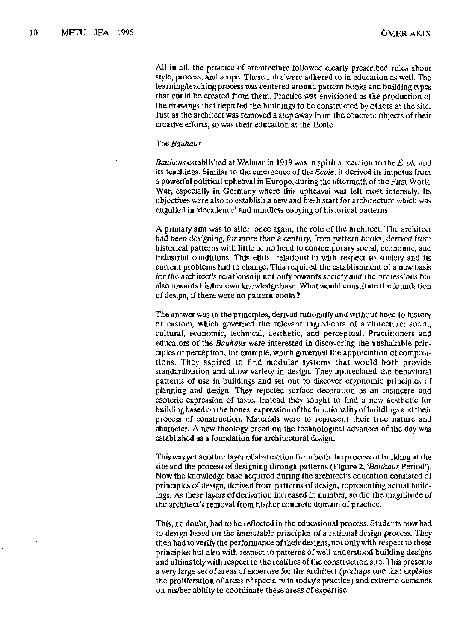All in all, the practice of architecture followed clearly prescribed rules about style, process, and scope. These rules were adhered to in education as well. The learning/teaching process was centered around pattern books and building types that could be created from them. Practice was envisioned as the production of the drawings that depicted the buildings to be constructed by others at the site. Just as the architect was removed a step away from the concrete objects of their creative efforts, so was their education at the Ecole.

#### The *Bauhaus*

*Bauhaus* established at Weimar in 1919 was in spirit a reaction to *the Ecole* and its teachings. Similar to the emergence of the *Ecole,* it derived its impetus from a powerful political upheaval in Europe, during the aftermath of the First World War, especially in Germany where this upheaval was felt most intensely. Its objectives were also to establish a new and fresh start for architecture which was engulfed in 'decadence' and mindless copying of historical patterns.

A primary aim was to alter, once again, the role of the architect. The architect had been designing, for more than a century, from pattern books, derived from historical patterns with little or no heed to contemporary social, economic, and industrial conditions. This elitist relationship with respect to society and its current problems had to change. This required the establishment of a new basis for the architect's relationship not only towards society and the professions but also towards his/her own knowledge base. What would constitute the foundation of design, if there were no pattern books?

The answer was in the principles, derived rationally and without heed to history or custom, which governed the relevant ingredients of architecture: social, cultural, economic, technical, aesthetic, and perceptual. Practitioners and educators of the *Bauhaus* were interested in discovering the unshakable principles of perception, for example, which governed the appreciation of compositions. They aspired to find modular systems that would both provide standardization and allow variety in design. They appreciated the behavioral patterns of use in buildings and set out to discover ergonomic principles of planning and design. They rejected surface decoration as an insincere and esoteric expression of taste. Instead they sought to find a new aesthetic for building based on the honest expression of the functionality of buildings and their process of construction. Materials were to represent their true nature and character. A new theology based on the technological advances of the day was established as a foundation for architectural design.

This was yet another layer of abstraction from both the process of building at the site and the process of designing through patterns **(Figure 2,** *'Bauhaus* Period'). Now the knowledge base acquired during the architect's education consisted of principles of design, derived from patterns of design, representing actual buildings. As these layers of derivation increased in number, so did the magnitude of the architect's removal from his/her concrete domain of practice.

This, no doubt, had to be reflected in the educational process. Students now had to design based on the immutable principles of a rational design process. They then had to verify the performance of their designs, not only with respect to these principles but also with respect to patterns of well understood building designs and ultimately with respect to the realities of the construction site. This presents a very large set of areas of expertise for the architect (perhaps one that explains the proliferation of areas of specialty in today's practice) and extreme demands on his/her ability to coordinate these areas of expertise.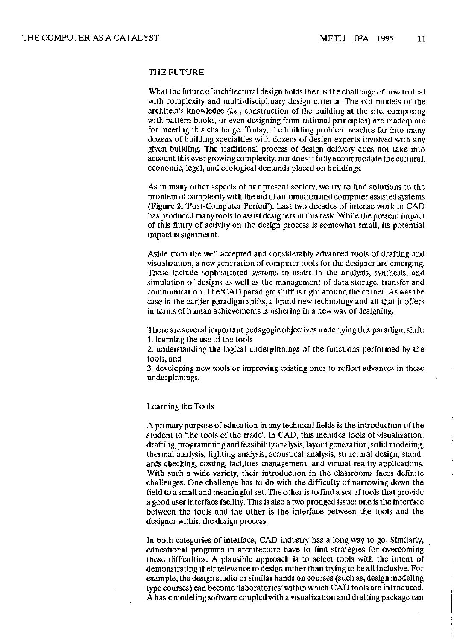## THE FUTURE

What the future of architectural design holds then is the challenge of how to deal with complexity and multi-disciplinary design criteria. The old models of the architect's knowledge *(i.e.,* construction of the building at the site, composing with pattern books, or even designing from rational principles) are inadequate for meeting this challenge. Today, the building problem reaches far into many dozens of building specialties with dozens of design experts involved with any given building. The traditional process of design delivery does not take into account this ever growing complexity, nor does it fully accommodate the cultural, economic, legal, and ecological demands placed on buildings.

As in many other aspects of our present society, we try to find solutions to the problem of complexity with the aid of automation and computer assisted systems (Figure 2, 'Post-Computer Period'). Last two decades of intense work in CAD has produced many tools to assist designers in this task. While the present impact of this flurry of activity on the design process is somewhat small, its potential impact is significant.

Aside from the well accepted and considerably advanced tools of drafting and visualization, a new generation of computer tools for the designer arc emerging. These include sophisticated systems to assist in the analysis, synthesis, and simulation of designs as well as the management of data storage, transfer and communication. The 'CAD paradigm shift' İs right around, the corner. As was the case in the earlier paradigm shifts, a brand new technology and all that it offers in terms of human achievements is ushering in a new way of designing.

There are several important pedagogic objectives underlying this paradigm shift:

1. learning the use of the tools

2. understanding the logical underpinnings of the functions performed by the tools, and

3. developing new tools or improving existing ones to reflect advances in these underpinnings.

## Learning the Tools

A primary purpose of education in any technical fields is the introduction of the student to 'the tools of the trade'. In CAD, this includes tools of visualization, drafting, programming and feasibility analysis, layout generation, solid modeling, thermal analysis, lighting analysis, acoustical analysis, structural design, standards checking, costing, facilities management, and virtual reality applications. With such a wide variety, their introduction in the classrooms faces definite challenges. One challenge has to do with the difficulty of narrowing down the field to a small and meaningful set. The other is to find a set of tools that provide a good user interface facility. This is also a two pronged issue: one is the interface between the tools and the other is the interface between the tools and the designer within the design process.

In both categories of interface, CAD industry has a long way to go. Similarly, educational programs in architecture have to find strategies for overcoming these difficulties. A plausible approach is to select tools with the intent of demonstrating their relevance to design rather than trying to be all inclusive. For example, the design studio or similar hands on courses (such as, design modeling type courses) can become 'laboratories' within which CAD tools are introduced. A basic modeling software coupled with a visualization and drafting package can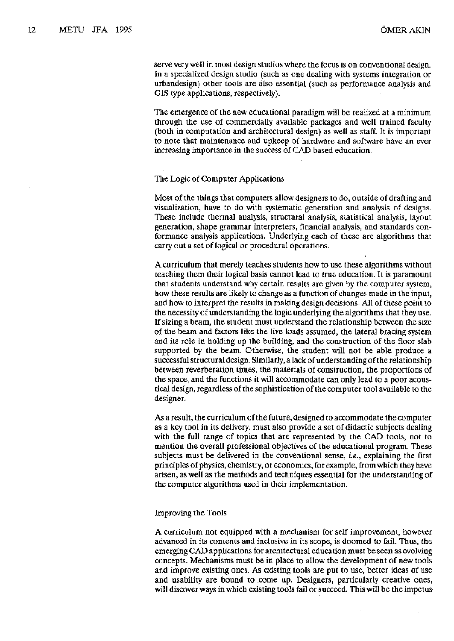serve very well in most design studios where the focus is on conventional design. In a specialized design studio (such as one dealing with systems integration or urbandesign) other tools are also essential (such as performance analysis and GIS type applications, respectively).

The emergence of the new educational paradigm will be realized at a minimum through the use of commercially available packages and well trained faculty (both in computation and architectural design) as well as staff. It is important to note that maintenance and upkeep of hardware and software have an ever increasing importance in the success of CAD based education.

#### The Logic of Computer Applications

Most of the things that computers allow designers to do, outside of drafting and visualization, have to do with systematic generation and analysis of designs. These include thermal analysis, structural analysis, statistical analysis, layout generation, shape grammar interpreters, financial analysis, and standards conformance analysis applications. Underlying each of these are algorithms that carry out a set of logical or procedural operations.

A curriculum that merely teaches students how to use these algorithms without teaching them their logical basis cannot lead to true education. It is paramount that students understand why certain results are given by the computer system, how these results are likely to change as a function of changes made in the input, and how to interpret the results in making design decisions. All of these point to the necessity of understanding the logic underlying the algorithms that they use. If sizing a beam, the student must understand the relationship between the size of the beam and factors like the live loads assumed, the lateral bracing system and its role in holding up the building, and the construction of the floor slab supported by the beam. Otherwise, the student will not be able produce a successful structural design. Similarly, a lack of understanding of the relationship between reverberation times, the materials of construction, the proportions of the space, and the functions it will accommodate can only lead to a poor acoustical design, regardless of the sophistication of the computer tool available to the designer.

As a result, the curriculum of the future, designed to accommodate the computer as a key tool in its delivery, must also provide a set of didactic subjects dealing with the full range of topics that are represented by the CAD tools, not to mention the overall professional objectives of the educational program. These subjects must be delivered in the conventional sense, *i.e.,* explaining the first principles of physics, chemistry, or economics, for example, from which they have arisen, as well as the methods and techniques essential for the understanding of the computer algorithms used in their implementation.

#### Improving the Tools

A curriculum not equipped with a mechanism for self improvement, however advanced in its contents and inclusive in its scope, is doomed to fail. Thus, the emerging CAD applications for architectural education must be seen as evolving concepts. Mechanisms must be in place to allow the development of new tools and improve existing ones. As existing tools are put to use, better ideas of use and usability are bound to come up. Designers, particularly creative ones, will discover ways in which existing tools fail or succeed. This will be the impetus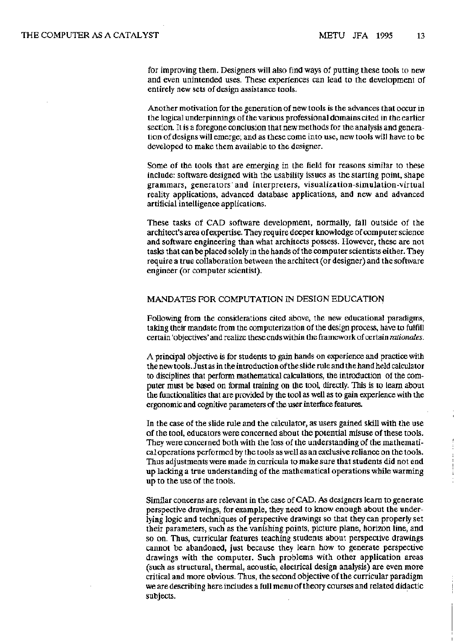for improving them. Designers will also find ways of putting these tools to new and even unintended uses. These experiences can lead to the development of entirely new sets of design assistance tools.

Another motivation for the generation of new tools is the advances that occur in the logical underpinnings of the various professional domains cited in the earlier section. It is a foregone conclusion that new methods for the analysis and generation of designs will emerge; and as these come into use, new tools will have to be developed to make them available to the designer.

Some of the tools that are emerging in the field for reasons similar to these include: software designed with the usability issues as the starting point, shape grammars, generators and interpreters, visualization-simulation-virtual reality applications, advanced database applications, and new and advanced artificial intelligence applications.

These tasks of CAD software development, normally, fall outside of the architect's area of expertise. They require deeper knowledge of computer science and software engineering than what architects possess. However, these are not tasks that can be placed solely in the hands of the computer scientists either. They require a true collaboration between the architect (or designer) and the software engineer (or computer scientist).

# MANDATES FOR COMPUTATION IN DESIGN EDUCATION

Following from the considerations cited above, the new educational paradigms, taking their mandate from the computerization of the design process, have to fulfill certain 'objectives' and realize these ends within the framework of certain *rationales.* 

A principal objective is for students to gain hands on experience and practice with the new tools. Just as in the introduction of the slide rule and the hand held calculator to disciplines that perform mathematical calculations, the introduction of the computer must be based on formal training on the tool, directly. This is to learn about the functionalities that are provided by the tool as well as to gain experience with the ergonomic and cognitive parameters of the user interface features.

In the case of the slide rule and the calculator, as users gained skill with the use of the tool, educators were concerned about the potential misuse of these tools. They were concerned both with the loss of the understanding of the mathematical operations performed by the tools as well as an exclusive reliance on the tools. Thus adjustments were made in curricula to make sure that students did not end up lacking a true understanding of the mathematical operations while warming up to the use of the tools.

Similar concerns are relevant in the case of CAD. As designers learn to generate perspective drawings, for example, they need to know enough about the underlying logic and techniques of perspective drawings so that they can properly set their parameters, such as the vanishing points, picture plane, horizon line, and so on. Thus, curricular features teaching students about perspective drawings cannot be abandoned, just because they learn how to generate perspective drawings with the computer. Such problems with other application areas (such as structural, thermal, acoustic, electrical design analysis) are even more critical and more obvious. Thus, the second objective of the curricular paradigm we are describing here includes a full menu of theory courses and related didactic subjects.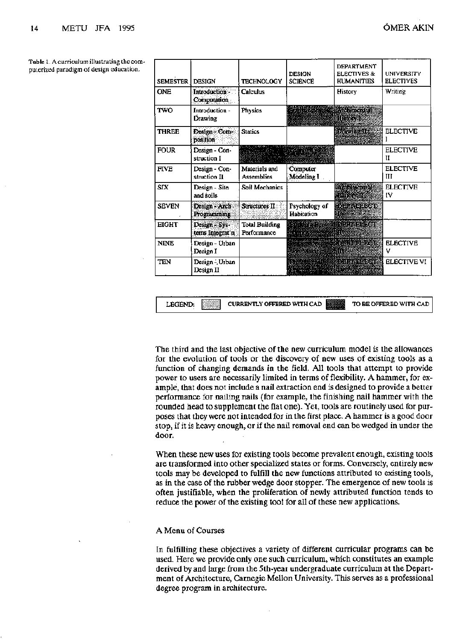| <b>SEMESTER</b> | <b>DESIGN</b>                    | <b>TECHNOLOGY</b>                    | <b>DESIGN</b><br><b>SCIENCE</b>  | DEPARTMENT<br><b>ELECTIVES &amp;</b><br><b>HUMANITIES</b> | <b>UNIVERSITY</b><br><b>ELECTIVES</b> |
|-----------------|----------------------------------|--------------------------------------|----------------------------------|-----------------------------------------------------------|---------------------------------------|
| <b>ONE</b>      | Introduction -<br>Computation    | Calculus                             |                                  | History                                                   | Writing                               |
| <b>TWO</b>      | Introduction -<br>Drawing        | Physics                              | <b>Entre de la Republicación</b> | <b>Excessive History Is</b>                               |                                       |
| <b>THREE</b>    | Design Com-<br>position          | <b>Statics</b>                       |                                  | <b>DAWINDE</b><br><b>We have</b>                          | <b>ELECTIVE</b>                       |
| <b>FOUR</b>     | Design - Con-<br>struction I     | Restaurant de l'Anglie               |                                  |                                                           | <b>ELECTIVE</b><br>H                  |
| <b>FIVE</b>     | Design - Con-<br>struction II    | Materials and<br>Assemblies          | Computer<br>Modeling I           |                                                           | <b>ELECTIVE</b><br>Ш                  |
| <b>SIX</b>      | Design - Site<br>and soils       | Soil Mechanics                       |                                  | <b>Authbetoral</b><br><u>termin</u>                       | <b>ELECTIVE</b><br>IV                 |
| <b>SEVEN</b>    | Design - Arch<br>Programming     | Structures II:                       | Psychology of<br>Habitation      | <b>SOLLAGES COLL</b>                                      |                                       |
| <b>EIGHT</b>    | Design - Sys-<br>tems Integrat'n | <b>Total Building</b><br>Performance | it be seem                       |                                                           |                                       |
| <b>NINE</b>     | Design - Urban<br>Design I       |                                      | Stor Skips and the Stor          | <b>Results Internative</b>                                | <b>ELECTIVE</b><br>v                  |
| <b>TEN</b>      | Design - Urban<br>Design II      |                                      | 81,320 F.H                       | <b>NUMBER OF STREET SECTIVE VI</b><br><u> Tantana a</u>   |                                       |

Tabic 1. A curriculum illustrating the computerized paradigm of design education.

> The third and the last objective of the new curriculum model is the allowances for the evolution of tools or the discovery of new uses of existing tools as a function of changing demands in the field. All tools that attempt to provide power to users are necessarily limited in terms of flexibility. A hammer, for example, that does not include a nail extraction end is designed to provide a better performance for nailing nails (for example, the finishing nail hammer with the rounded head to supplement the flat one). Yet, tools are routinely used for purposes that they were not intended for in the first place. A hammer is a good door stop, if it is heavy enough, or if the nail removal end can be wedged in under the door.

LEGEND: CURRENTLY OFFERED WITH CAD TO BE OFFERED WITH CAD

When these new uses for existing tools become prevalent enough, existing tools are transformed into other specialized states or forms. Conversely, entirely new tools may be developed to fulfill the new functions attributed to existing tools, as in the case of the rubber wedge door stopper. The emergence of new tools is often justifiable, when the proliferation of newly attributed function tends to reduce the power of the existing tool for all of these new applications.

## A Menu of Courses

In fulfilling these objectives a variety of different curricular programs can be used. Here we provide only one such curriculum, which constitutes an example derived by and large from the 5th-year undergraduate curriculum at the Department of Architecture, Carnegie Mellon University. This serves as a professional degree program in architecture.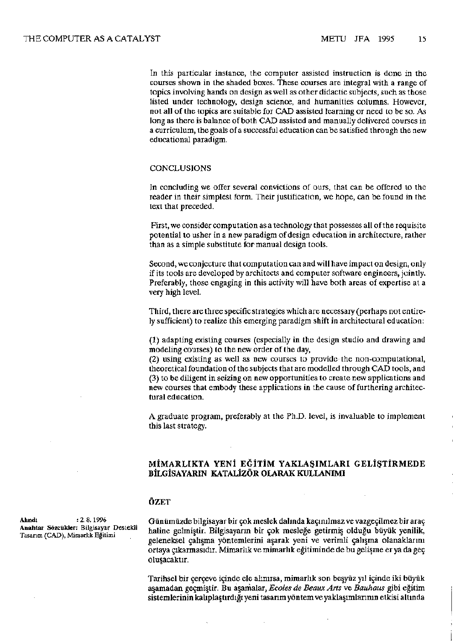In this particular instance, the computer assisted instruction is done in the courses shown in the shaded boxes. These courses are integral with a range of topics involving hands on design as well as other didactic subjects, such as those listed under technology, design science, and humanities columns. However, not all of the topics are suitable for CAD assisted learning or need to be so. As long as there is balance of both CAD assisted and manually delivered courses in a curriculum, the goals of a successful education can be satisfied through the new educational paradigm.

#### CONCLUSIONS

In concluding we offer several convictions of ours, that can be offered to the reader in their simplest form. Their justification, we hope, can be found in the text that preceded.

First, we consider computation as a technology that possesses all of the requisite potential to usher in a new paradigm of design education in architecture, rather than as a simple substitute for manual design tools.

Second, we conjecture that computation can and will have impact on design, only if its tools are developed by architects and computer software engineers, jointly. Preferably, those engaging in this activity will have both areas of expertise at a very high level.

Third, there are three specific strategies which are necessary (perhaps not entirely sufficient) to realize this emerging paradigm shift in architectural education:

(1) adapting existing courses (especially in the design studio and drawing and modeling courses) to the new order of the day,

(2) using existing as well as new courses to provide the non-computational, theoretical foundation of the subjects that are modelled through CAD tools, and (3) to be diligent in seizing on new opportunities to create new applications and new courses that embody these applications in the cause of furthering architectural education.

A graduate program, preferably at the Ph.D. level, is invaluable to implement this last strategy.

# **MİMARLIKTA YEN EĞİTİM YAKLAŞIMLARI GELİŞTİRMEDE BİLGİSAYARIN KATALİZÖR OLARAK KULLANIMI**

# **ÖZET**

**Alindi : 2. 8.**1996 **Anahtar Sözcükler:** Bilgisayar Destekli Tasarım (CAD), Mimarlık Eğitimi

Günümüzde bilgisayar bir çok meslek dalında kaçınılmaz ve vazgeçilmez bir araç haline gelmiştir. Bilgisayarın bir çok mesleğe getirmiş olduğu büyük yenilik, geleneksel çalışma yöntemlerini aşarak yeni ve verimli çalışma olanaklarını ortaya çıkarmasıdır. Mimarlık ve mimarlık eğitiminde de bu gelişme er ya da geç oluşacaktır.

Tarihsel bir çerçeve içinde ele alınırsa, mimarlık son beşyüz yıl içinde iki büyük aşamadan geçmiştir. Bu aşamalar, *Ecoles de Beaux Arts* ve *Bauhaus* gibi eğitim sistemlerinin kalıplaştırdığı yeni tasarım yöntem ve yaklaşımlarının etkisi altında